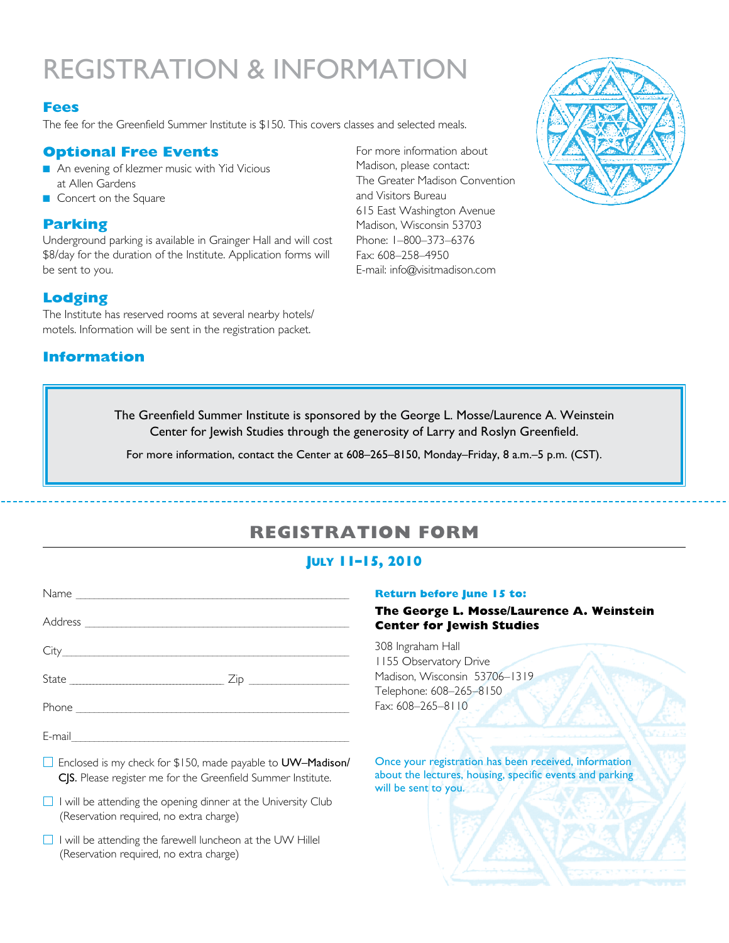# registration & information

#### **Fees**

The fee for the Greenfield Summer Institute is \$150. This covers classes and selected meals.

#### **Optional Free Events**

- An evening of klezmer music with Yid Vicious at Allen Gardens
- Concert on the Square

#### **Parking**

Underground parking is available in Grainger Hall and will cost \$8/day for the duration of the Institute. Application forms will be sent to you.

### **Lodging**

The Institute has reserved rooms at several nearby hotels/ motels. Information will be sent in the registration packet.

### **Information**

For more information about Madison, please contact: The Greater Madison Convention and Visitors Bureau 615 East Washington Avenue Madison, Wisconsin 53703 Phone: 1–800–373–6376 Fax: 608–258–4950 E-mail: info@visitmadison.com



The Greenfield Summer Institute is sponsored by the George L. Mosse/Laurence A. Weinstein Center for Jewish Studies through the generosity of Larry and Roslyn Greenfield.

For more information, contact the Center at 608–265–8150, Monday–Friday, 8 a.m.–5 p.m. (CST).

## **REGISTRATION FORM**

#### **July 11–15, 2010**

| City                                                                                                                                                                                                                                                                                          |  |
|-----------------------------------------------------------------------------------------------------------------------------------------------------------------------------------------------------------------------------------------------------------------------------------------------|--|
|                                                                                                                                                                                                                                                                                               |  |
|                                                                                                                                                                                                                                                                                               |  |
|                                                                                                                                                                                                                                                                                               |  |
| Enclosed is my check for \$150, made payable to UW-Madison/<br>CJS. Please register me for the Greenfield Summer Institute.                                                                                                                                                                   |  |
| $\Box$ . $\Box$ . $\Box$ . $\Box$ . $\Box$ . $\Box$ . $\Box$ . $\Box$ . $\Box$ . $\Box$ . $\Box$ . $\Box$ . $\Box$ . $\Box$ . $\Box$ . $\Box$ . $\Box$ . $\Box$ . $\Box$ . $\Box$ . $\Box$ . $\Box$ . $\Box$ . $\Box$ . $\Box$ . $\Box$ . $\Box$ . $\Box$ . $\Box$ . $\Box$ . $\Box$ . $\Box$ |  |

 $\Box$  I will be attending the opening dinner at the University Club (Reservation required, no extra charge)

 $\Box$  I will be attending the farewell luncheon at the UW Hillel (Reservation required, no extra charge)

#### **Return before June 15 to:**

#### **The George L. Mosse/Laurence A. Weinstein Center for Jewish Studies**

308 Ingraham Hall 1155 Observatory Drive Madison, Wisconsin 53706–1319 Telephone: 608–265–8150 Fax: 608–265–8110

Once your registration has been received, information about the lectures, housing, specific events and parking will be sent to you.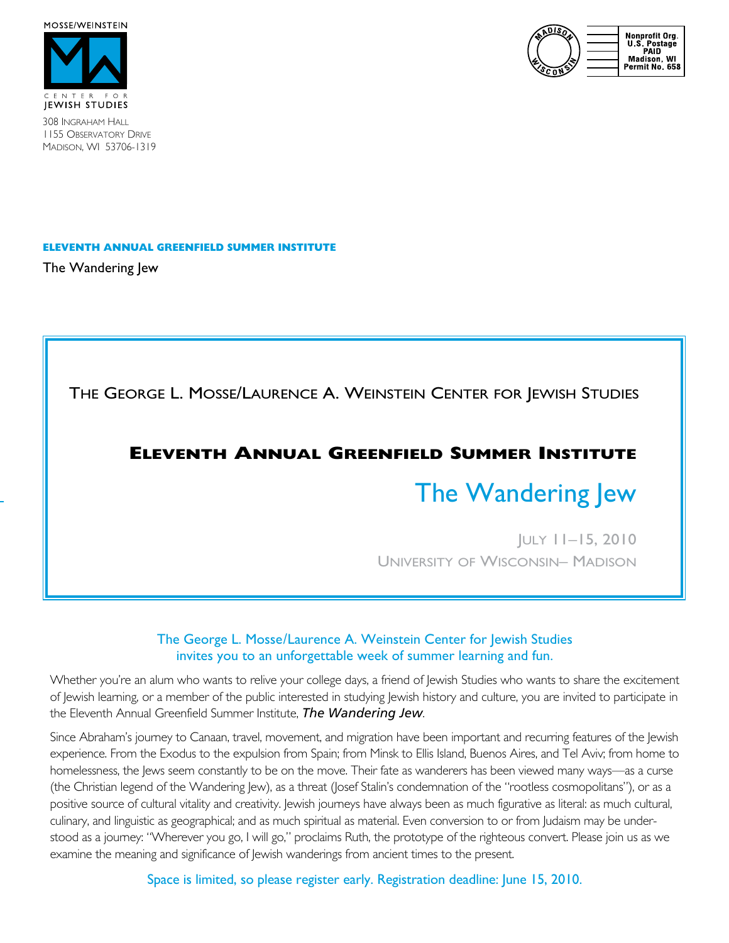





308 Ingraham Hall 1155 Observatory Drive Madison, WI 53706-1319

#### **ELEVENTH Annual Greenfield Summer Institute**

The Wandering Jew

The George L. Mosse/Laurence A. Weinstein Center for Jewish Studies

## **Eleventh Annual Greenfield Summer Institute**

# The Wandering Jew

July 11–15, 2010 University of Wisconsin– Madison

#### The George L. Mosse/Laurence A. Weinstein Center for Jewish Studies invites you to an unforgettable week of summer learning and fun.

Whether you're an alum who wants to relive your college days, a friend of Jewish Studies who wants to share the excitement of Jewish learning, or a member of the public interested in studying Jewish history and culture, you are invited to participate in the Eleventh Annual Greenfield Summer Institute, *The Wandering Jew*.

Since Abraham's journey to Canaan, travel, movement, and migration have been important and recurring features of the Jewish experience. From the Exodus to the expulsion from Spain; from Minsk to Ellis Island, Buenos Aires, and Tel Aviv; from home to homelessness, the Jews seem constantly to be on the move. Their fate as wanderers has been viewed many ways—as a curse (the Christian legend of the Wandering Jew), as a threat (Josef Stalin's condemnation of the "rootless cosmopolitans"), or as a positive source of cultural vitality and creativity. Jewish journeys have always been as much figurative as literal: as much cultural, culinary, and linguistic as geographical; and as much spiritual as material. Even conversion to or from Judaism may be understood as a journey: "Wherever you go, I will go," proclaims Ruth, the prototype of the righteous convert. Please join us as we examine the meaning and significance of Jewish wanderings from ancient times to the present.

Space is limited, so please register early. Registration deadline: June 15, 2010.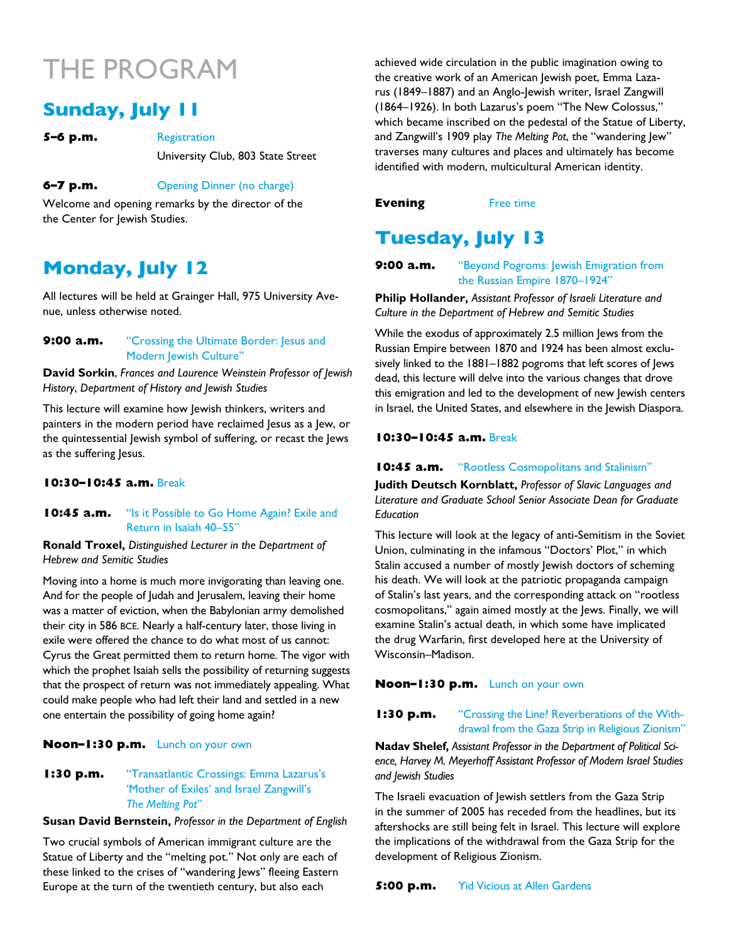# The program

# **Sunday, July 11**

**5–6 p.m.** Registration University Club, 803 State Street

#### **6–7 p.m.** Opening Dinner (no charge)

Welcome and opening remarks by the director of the the Center for Jewish Studies.

# **Monday, July 12**

All lectures will be held at Grainger Hall, 975 University Avenue, unless otherwise noted.

#### **9:00 a.m.** "Crossing the Ultimate Border: Jesus and Modern Jewish Culture"

**David Sorkin**, *Frances and Laurence Weinstein Professor of Jewish History*, *Department of History and Jewish Studies*

This lecture will examine how Jewish thinkers, writers and painters in the modern period have reclaimed Jesus as a Jew, or the quintessential Jewish symbol of suffering, or recast the Jews as the suffering Jesus.

#### **10:30–10:45 a.m.** Break

#### **10:45 a.m.** "Is it Possible to Go Home Again? Exile and Return in Isaiah 40–55"

**Ronald Troxel,** *Distinguished Lecturer in the Department of Hebrew and Semitic Studies*

Moving into a home is much more invigorating than leaving one. And for the people of Judah and Jerusalem, leaving their home was a matter of eviction, when the Babylonian army demolished their city in 586 bce. Nearly a half-century later, those living in exile were offered the chance to do what most of us cannot: Cyrus the Great permitted them to return home. The vigor with which the prophet Isaiah sells the possibility of returning suggests that the prospect of return was not immediately appealing. What could make people who had left their land and settled in a new one entertain the possibility of going home again?

#### **Noon–1:30 p.m.** Lunch on your own

#### **1:30 p.m.** "Transatlantic Crossings: Emma Lazarus's 'Mother of Exiles' and Israel Zangwill's *The Melting Pot*"

**Susan David Bernstein,** *Professor in the Department of English*

Two crucial symbols of American immigrant culture are the Statue of Liberty and the "melting pot." Not only are each of these linked to the crises of "wandering Jews" fleeing Eastern Europe at the turn of the twentieth century, but also each

achieved wide circulation in the public imagination owing to the creative work of an American Jewish poet, Emma Lazarus (1849–1887) and an Anglo-Jewish writer, Israel Zangwill (1864–1926). In both Lazarus's poem "The New Colossus," which became inscribed on the pedestal of the Statue of Liberty, and Zangwill's 1909 play *The Melting Pot*, the "wandering Jew" traverses many cultures and places and ultimately has become identified with modern, multicultural American identity.

#### **Evening** Free time

# **Tuesday, July 13**

**9:00 a.m.** "Beyond Pogroms: Jewish Emigration from the Russian Empire 1870–1924"

**Philip Hollander,** *Assistant Professor of Israeli Literature and Culture in the Department of Hebrew and Semitic Studies*

While the exodus of approximately 2.5 million Jews from the Russian Empire between 1870 and 1924 has been almost exclusively linked to the 1881–1882 pogroms that left scores of Jews dead, this lecture will delve into the various changes that drove this emigration and led to the development of new Jewish centers in Israel, the United States, and elsewhere in the Jewish Diaspora.

#### **10:30–10:45 a.m.** Break

#### **10:45 a.m.** "Rootless Cosmopolitans and Stalinism"

**Judith Deutsch Kornblatt,** *Professor of Slavic Languages and Literature and Graduate School Senior Associate Dean for Graduate Education*

This lecture will look at the legacy of anti-Semitism in the Soviet Union, culminating in the infamous "Doctors' Plot," in which Stalin accused a number of mostly Jewish doctors of scheming his death. We will look at the patriotic propaganda campaign of Stalin's last years, and the corresponding attack on "rootless cosmopolitans," again aimed mostly at the Jews. Finally, we will examine Stalin's actual death, in which some have implicated the drug Warfarin, first developed here at the University of Wisconsin–Madison.

#### **Noon–1:30 p.m.** Lunch on your own

#### **1:30 p.m.** "Crossing the Line? Reverberations of the Withdrawal from the Gaza Strip in Religious Zionism"

**Nadav Shelef,** *Assistant Professor in the Department of Political Science, Harvey M. Meyerhoff Assistant Professor of Modern Israel Studies and Jewish Studies*

The Israeli evacuation of Jewish settlers from the Gaza Strip in the summer of 2005 has receded from the headlines, but its aftershocks are still being felt in Israel. This lecture will explore the implications of the withdrawal from the Gaza Strip for the development of Religious Zionism.

**5:00 p.m.** Yid Vicious at Allen Gardens